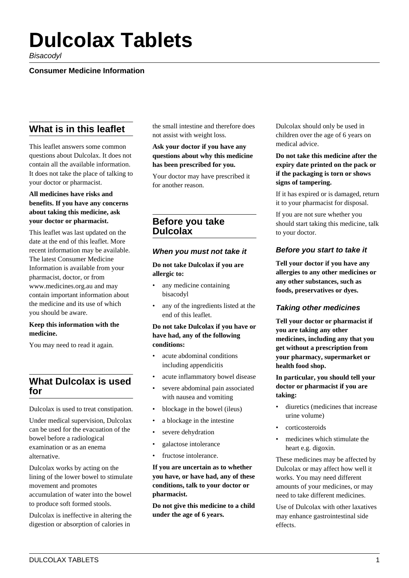# **Dulcolax Tablets**

**Bisacodvl** 

#### **Consumer Medicine Information**

# **What is in this leaflet**

This leaflet answers some common questions about Dulcolax. It does not contain all the available information. It does not take the place of talking to your doctor or pharmacist.

#### **All medicines have risks and benefits. If you have any concerns about taking this medicine, ask your doctor or pharmacist.**

This leaflet was last updated on the date at the end of this leaflet. More recent information may be available. The latest Consumer Medicine Information is available from your pharmacist, doctor, or from www.medicines.org.au and may contain important information about the medicine and its use of which you should be aware.

#### **Keep this information with the medicine.**

You may need to read it again.

# **What Dulcolax is used for**

Dulcolax is used to treat constipation.

Under medical supervision, Dulcolax can be used for the evacuation of the bowel before a radiological examination or as an enema alternative.

Dulcolax works by acting on the lining of the lower bowel to stimulate movement and promotes accumulation of water into the bowel to produce soft formed stools.

Dulcolax is ineffective in altering the digestion or absorption of calories in

the small intestine and therefore does not assist with weight loss.

#### **Ask your doctor if you have any questions about why this medicine has been prescribed for you.**

Your doctor may have prescribed it for another reason.

# **Before you take Dulcolax**

#### **When you must not take it**

**Do not take Dulcolax if you are allergic to:**

- any medicine containing bisacodyl
- any of the ingredients listed at the end of this leaflet.

#### **Do not take Dulcolax if you have or have had, any of the following conditions:**

- acute abdominal conditions including appendicitis
- acute inflammatory bowel disease
- severe abdominal pain associated with nausea and vomiting
- blockage in the bowel (ileus)
- a blockage in the intestine
- severe dehydration
- galactose intolerance
- fructose intolerance.

**If you are uncertain as to whether you have, or have had, any of these conditions, talk to your doctor or pharmacist.**

**Do not give this medicine to a child under the age of 6 years.**

Dulcolax should only be used in children over the age of 6 years on medical advice.

#### **Do not take this medicine after the expiry date printed on the pack or if the packaging is torn or shows signs of tampering.**

If it has expired or is damaged, return it to your pharmacist for disposal.

If you are not sure whether you should start taking this medicine, talk to your doctor.

## **Before you start to take it**

**Tell your doctor if you have any allergies to any other medicines or any other substances, such as foods, preservatives or dyes.**

#### **Taking other medicines**

**Tell your doctor or pharmacist if you are taking any other medicines, including any that you get without a prescription from your pharmacy, supermarket or health food shop.**

#### **In particular, you should tell your doctor or pharmacist if you are taking:**

- diuretics (medicines that increase urine volume)
- corticosteroids
- medicines which stimulate the heart e.g. digoxin.

These medicines may be affected by Dulcolax or may affect how well it works. You may need different amounts of your medicines, or may need to take different medicines.

Use of Dulcolax with other laxatives may enhance gastrointestinal side effects.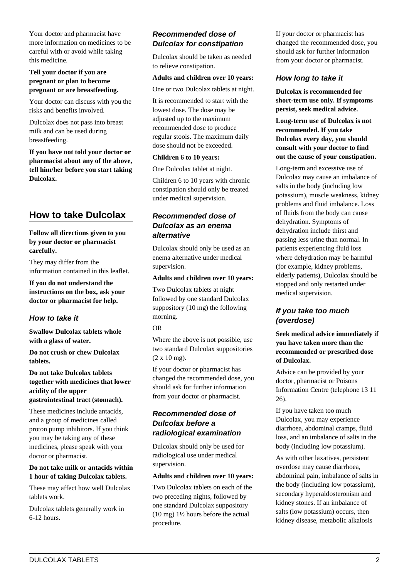Your doctor and pharmacist have more information on medicines to be careful with or avoid while taking this medicine.

#### **Tell your doctor if you are pregnant or plan to become pregnant or are breastfeeding.**

Your doctor can discuss with you the risks and benefits involved.

Dulcolax does not pass into breast milk and can be used during breastfeeding.

**If you have not told your doctor or pharmacist about any of the above, tell him/her before you start taking Dulcolax.**

# **How to take Dulcolax**

**Follow all directions given to you by your doctor or pharmacist carefully.**

They may differ from the information contained in this leaflet.

**If you do not understand the instructions on the box, ask your doctor or pharmacist for help.**

# **How to take it**

**Swallow Dulcolax tablets whole with a glass of water.**

**Do not crush or chew Dulcolax tablets.**

**Do not take Dulcolax tablets together with medicines that lower acidity of the upper gastrointestinal tract (stomach).**

These medicines include antacids, and a group of medicines called proton pump inhibitors. If you think you may be taking any of these medicines, please speak with your doctor or pharmacist.

#### **Do not take milk or antacids within 1 hour of taking Dulcolax tablets.**

These may affect how well Dulcolax tablets work.

Dulcolax tablets generally work in 6-12 hours.

# **Recommended dose of Dulcolax for constipation**

Dulcolax should be taken as needed to relieve constipation.

#### **Adults and children over 10 years:**

One or two Dulcolax tablets at night.

It is recommended to start with the lowest dose. The dose may be adjusted up to the maximum recommended dose to produce regular stools. The maximum daily dose should not be exceeded.

#### **Children 6 to 10 years:**

One Dulcolax tablet at night.

Children 6 to 10 years with chronic constipation should only be treated under medical supervision.

# **Recommended dose of Dulcolax as an enema alternative**

Dulcolax should only be used as an enema alternative under medical supervision.

#### **Adults and children over 10 years:**

Two Dulcolax tablets at night followed by one standard Dulcolax suppository (10 mg) the following morning.

#### OR

Where the above is not possible, use two standard Dulcolax suppositories (2 x 10 mg).

If your doctor or pharmacist has changed the recommended dose, you should ask for further information from your doctor or pharmacist.

## **Recommended dose of Dulcolax before a radiological examination**

Dulcolax should only be used for radiological use under medical supervision.

#### **Adults and children over 10 years:**

Two Dulcolax tablets on each of the two preceding nights, followed by one standard Dulcolax suppository (10 mg) 1½ hours before the actual procedure.

If your doctor or pharmacist has changed the recommended dose, you should ask for further information from your doctor or pharmacist.

## **How long to take it**

**Dulcolax is recommended for short-term use only. If symptoms persist, seek medical advice.**

**Long-term use of Dulcolax is not recommended. If you take Dulcolax every day, you should consult with your doctor to find out the cause of your constipation.**

Long-term and excessive use of Dulcolax may cause an imbalance of salts in the body (including low potassium), muscle weakness, kidney problems and fluid imbalance. Loss of fluids from the body can cause dehydration. Symptoms of dehydration include thirst and passing less urine than normal. In patients experiencing fluid loss where dehydration may be harmful (for example, kidney problems, elderly patients), Dulcolax should be stopped and only restarted under medical supervision.

# **If you take too much (overdose)**

**Seek medical advice immediately if you have taken more than the recommended or prescribed dose of Dulcolax.**

Advice can be provided by your doctor, pharmacist or Poisons Information Centre (telephone 13 11  $26$ 

If you have taken too much Dulcolax, you may experience diarrhoea, abdominal cramps, fluid loss, and an imbalance of salts in the body (including low potassium).

As with other laxatives, persistent overdose may cause diarrhoea, abdominal pain, imbalance of salts in the body (including low potassium), secondary hyperaldosteronism and kidney stones. If an imbalance of salts (low potassium) occurs, then kidney disease, metabolic alkalosis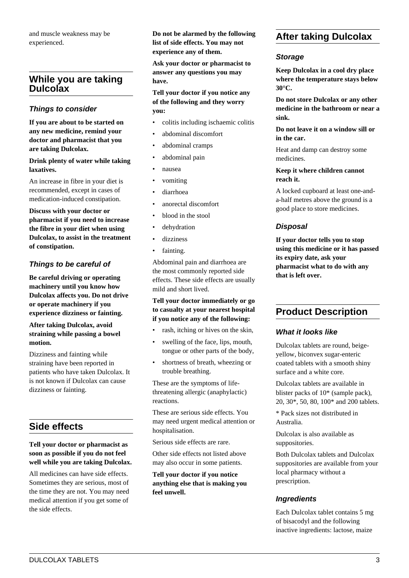and muscle weakness may be experienced.

# **While you are taking Dulcolax**

## **Things to consider**

**If you are about to be started on any new medicine, remind your doctor and pharmacist that you are taking Dulcolax.**

**Drink plenty of water while taking laxatives.**

An increase in fibre in your diet is recommended, except in cases of medication-induced constipation.

**Discuss with your doctor or pharmacist if you need to increase the fibre in your diet when using Dulcolax, to assist in the treatment of constipation.**

# **Things to be careful of**

**Be careful driving or operating machinery until you know how Dulcolax affects you. Do not drive or operate machinery if you experience dizziness or fainting.**

**After taking Dulcolax, avoid straining while passing a bowel motion.**

Dizziness and fainting while straining have been reported in patients who have taken Dulcolax. It is not known if Dulcolax can cause dizziness or fainting.

# **Side effects**

#### **Tell your doctor or pharmacist as soon as possible if you do not feel well while you are taking Dulcolax.**

All medicines can have side effects. Sometimes they are serious, most of the time they are not. You may need medical attention if you get some of the side effects.

**Do not be alarmed by the following list of side effects. You may not experience any of them.**

**Ask your doctor or pharmacist to answer any questions you may have.**

**Tell your doctor if you notice any of the following and they worry you:**

- colitis including ischaemic colitis
- abdominal discomfort
- abdominal cramps
- abdominal pain
- nausea
- vomiting
- diarrhoea
- anorectal discomfort
- blood in the stool
- dehydration
- dizziness
- fainting.

Abdominal pain and diarrhoea are the most commonly reported side effects. These side effects are usually mild and short lived.

**Tell your doctor immediately or go to casualty at your nearest hospital if you notice any of the following:**

- rash, itching or hives on the skin,
- swelling of the face, lips, mouth, tongue or other parts of the body,
- shortness of breath, wheezing or trouble breathing.

These are the symptoms of lifethreatening allergic (anaphylactic) reactions.

These are serious side effects. You may need urgent medical attention or hospitalisation.

Serious side effects are rare.

Other side effects not listed above may also occur in some patients.

**Tell your doctor if you notice anything else that is making you feel unwell.**

# **After taking Dulcolax**

#### **Storage**

**Keep Dulcolax in a cool dry place where the temperature stays below 30°C.**

**Do not store Dulcolax or any other medicine in the bathroom or near a sink.**

**Do not leave it on a window sill or in the car.**

Heat and damp can destroy some medicines.

#### **Keep it where children cannot reach it.**

A locked cupboard at least one-anda-half metres above the ground is a good place to store medicines.

# **Disposal**

**If your doctor tells you to stop using this medicine or it has passed its expiry date, ask your pharmacist what to do with any that is left over.**

# **Product Description**

#### **What it looks like**

Dulcolax tablets are round, beigeyellow, biconvex sugar-enteric coated tablets with a smooth shiny surface and a white core.

Dulcolax tablets are available in blister packs of 10\* (sample pack), 20, 30\*, 50, 80, 100\* and 200 tablets.

\* Pack sizes not distributed in Australia.

Dulcolax is also available as suppositories.

Both Dulcolax tablets and Dulcolax suppositories are available from your local pharmacy without a prescription.

# **Ingredients**

Each Dulcolax tablet contains 5 mg of bisacodyl and the following inactive ingredients: lactose, maize